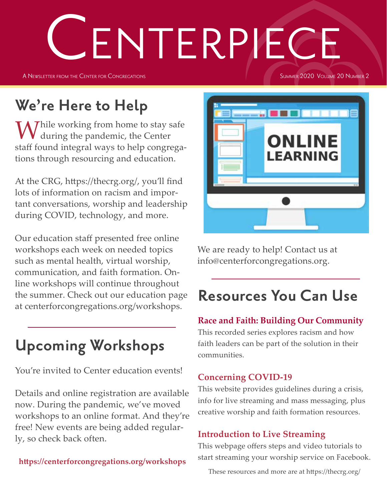# **LENTERPIECE**

A Newsletter from the Center for Congregations

Summer 2020 Volume 20 Number 2

## **We're Here to Help**

 $M^{hile}$  working from home to stay safe during the pandemic, the Center staff found integral ways to help congregations through resourcing and education.

At the CRG, https://thecrg.org/, you'll find lots of information on racism and important conversations, worship and leadership during COVID, technology, and more.

Our education staff presented free online workshops each week on needed topics such as mental health, virtual worship, communication, and faith formation. Online workshops will continue throughout the summer. Check out our education page at centerforcongregations.org/workshops.

# **Upcoming Workshops**

You're invited to Center education events!

Details and online registration are available now. During the pandemic, we've moved workshops to an online format. And they're free! New events are being added regularly, so check back often.

**https://centerforcongregations.org/workshops**



We are ready to help! Contact us at info@centerforcongregations.org.

# **Resources You Can Use**

## **Race and Faith: Building Our Community**

This recorded series explores racism and how faith leaders can be part of the solution in their communities.

## **Concerning COVID-19**

This website provides guidelines during a crisis, info for live streaming and mass messaging, plus creative worship and faith formation resources.

### **Introduction to Live Streaming**

This webpage offers steps and video tutorials to start streaming your worship service on Facebook.

These resources and more are at https://thecrg.org/